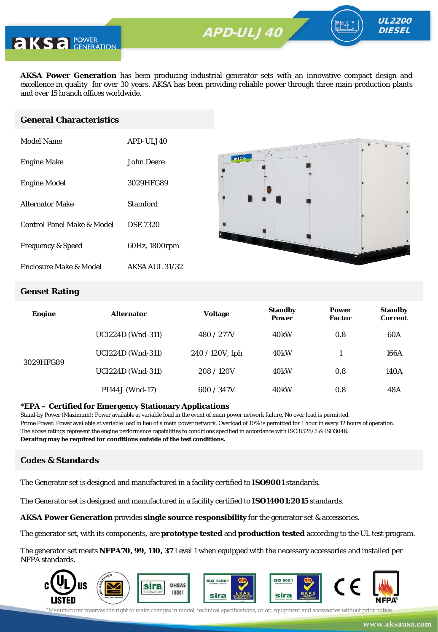**APD-ULV350** APD-ULJ40



**AKSA Power Generation** has been producing industrial generator sets with an innovative compact design and excellence in quality for over 30 years. AKSA has been providing reliable power through three main production plants and over 15 branch offices worldwide.

#### **General Characteristics**

| Model Name                   | APD-ULJ40             |
|------------------------------|-----------------------|
| <b>Engine Make</b>           | John Deere            |
| <b>Engine Model</b>          | 3029HFG89             |
| <b>Alternator Make</b>       | Stamford              |
| Control Panel Make & Model   | <b>DSE 7320</b>       |
| <b>Frequency &amp; Speed</b> | 60Hz, 1800rpm         |
| Enclosure Make & Model       | <b>AKSA AUL 31/32</b> |



UL2200 **DIESEL** 

#### **Genset Rating**

| <b>Engine</b> | <b>Alternator</b>        | <b>Voltage</b>  | <b>Standby</b><br><b>Power</b> | <b>Power</b><br><b>Factor</b> | <b>Standby</b><br><b>Current</b> |
|---------------|--------------------------|-----------------|--------------------------------|-------------------------------|----------------------------------|
|               | <b>UCI224D</b> (Wnd-311) | 480 / 277V      | 40 <sub>k</sub> W              | 0.8                           | 60A                              |
| 3029HFG89     | <b>UCI224D</b> (Wnd-311) | 240 / 120V, 1ph | 40kW                           |                               | 166A                             |
|               | <b>UCI224D</b> (Wnd-311) | 208/120V        | 40kW                           | 0.8                           | 140A                             |
|               | PI144J (Wnd-17)          | 600 / 347V      | 40 <sub>k</sub> W              | 0.8                           | 48A                              |

#### **\*EPA – Certified for Emergency Stationary Applications**

Stand-by Power (Maximum): Power available at variable load in the event of main power network failure. No over load is permitted. Prime Power: Power available at variable load in lieu of a main power network. Overload of 10% is permitted for 1 hour in every 12 hours of operation. The above ratings represent the engine performance capabilities to conditions specified in accordance with ISO 8528/5 & ISO3046. **Derating may be required for conditions outside of the test conditions.**

#### **Codes & Standards**

The Generator set is designed and manufactured in a facility certified to **ISO9001** standards.

The Generator set is designed and manufactured in a facility certified to **ISO14001:2015** standards.

**AKSA Power Generation** provides **single source responsibility** for the generator set & accessories.

The generator set, with its components, are **prototype tested** and **production tested** according to the UL test program.

The generator set meets **NFPA70, 99, 110, 37** Level 1 when equipped with the necessary accessories and installed per NFPA standards.



\*Manufacturer reserves the right to make changes in model, technical specifications, color, equipment and accessories without prior notice.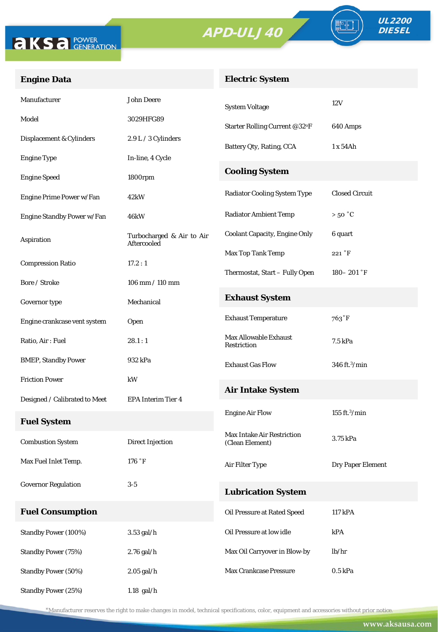



FO

# **Engine Data**

## **Electric System**

| Manufacturer                  | <b>John Deere</b>                        | <b>System Voltage</b>                         | 12V                       |  |  |
|-------------------------------|------------------------------------------|-----------------------------------------------|---------------------------|--|--|
| Model                         | 3029HFG89                                | Starter Rolling Current @32°F                 | 640 Amps                  |  |  |
| Displacement & Cylinders      | 2.9 L / 3 Cylinders                      | Battery Qty, Rating, CCA                      | 1 x 54Ah                  |  |  |
| <b>Engine Type</b>            | In-line, 4 Cycle                         |                                               |                           |  |  |
| <b>Engine Speed</b>           | 1800rpm                                  | <b>Cooling System</b>                         |                           |  |  |
| Engine Prime Power w/Fan      | 42kW                                     | <b>Radiator Cooling System Type</b>           | <b>Closed Circuit</b>     |  |  |
| Engine Standby Power w/Fan    | 46kW                                     | <b>Radiator Ambient Temp</b>                  | $>50\degree C$            |  |  |
| Aspiration                    | Turbocharged & Air to Air<br>Aftercooled | <b>Coolant Capacity, Engine Only</b>          | 6 quart                   |  |  |
|                               |                                          | Max Top Tank Temp                             | 221 °F                    |  |  |
| <b>Compression Ratio</b>      | 17.2:1                                   | Thermostat, Start - Fully Open                | $180 - 201$ °F            |  |  |
| Bore / Stroke                 | $106$ mm $/ 110$ mm                      |                                               |                           |  |  |
| Governor type                 | Mechanical                               | <b>Exhaust System</b>                         |                           |  |  |
| Engine crankcase vent system  | Open                                     | <b>Exhaust Temperature</b>                    | 763°F                     |  |  |
| Ratio, Air: Fuel              | 28.1:1                                   | Max Allowable Exhaust<br>Restriction          | 7.5 kPa                   |  |  |
| <b>BMEP, Standby Power</b>    | 932 kPa                                  | <b>Exhaust Gas Flow</b>                       | 346 ft. <sup>3</sup> /min |  |  |
| <b>Friction Power</b>         | kW                                       |                                               |                           |  |  |
| Designed / Calibrated to Meet | <b>EPA Interim Tier 4</b>                | <b>Air Intake System</b>                      |                           |  |  |
| <b>Fuel System</b>            |                                          | <b>Engine Air Flow</b>                        | $155$ ft. $3$ /min        |  |  |
| <b>Combustion System</b>      | <b>Direct Injection</b>                  | Max Intake Air Restriction<br>(Clean Element) | 3.75 kPa                  |  |  |
| Max Fuel Inlet Temp.          | 176 °F                                   | Air Filter Type                               | Dry Paper Element         |  |  |
| <b>Governor Regulation</b>    | $3-5$                                    | <b>Lubrication System</b>                     |                           |  |  |
| <b>Fuel Consumption</b>       |                                          | Oil Pressure at Rated Speed                   | 117 kPA                   |  |  |
| Standby Power (100%)          | $3.53$ gal/h                             | Oil Pressure at low idle                      | kPA                       |  |  |
|                               |                                          |                                               |                           |  |  |
| <b>Standby Power (75%)</b>    | $2.76$ gal/h                             | Max Oil Carryover in Blow-by                  | lb/hr                     |  |  |
| <b>Standby Power (50%)</b>    | $2.05$ gal/h                             | Max Crankcase Pressure                        | $0.5$ kPa                 |  |  |
| <b>Standby Power (25%)</b>    | $1.18$ gal/h                             |                                               |                           |  |  |

\*Manufacturer reserves the right to make changes in model, technical specifications, color, equipment and accessories without prior notice.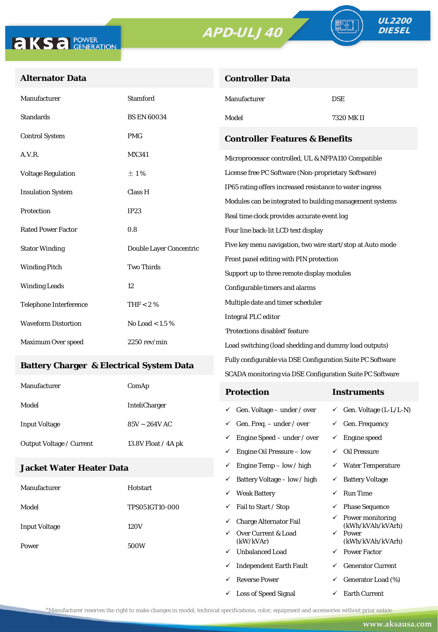**Controller Data**



ª⊩

### **Alternator Data**

| Manufacturer                              | <b>Stamford</b>         | Manufacturer                                               | <b>DSE</b> |  |
|-------------------------------------------|-------------------------|------------------------------------------------------------|------------|--|
| <b>Standards</b>                          | <b>BS EN 60034</b>      | Model                                                      | 7320 MK II |  |
| <b>Control System</b>                     | <b>PMG</b>              | <b>Controller Features &amp; Benefits</b>                  |            |  |
| A.V.R.                                    | <b>MX341</b>            | Microprocessor controlled, UL & NFPA110 Compatible         |            |  |
| <b>Voltage Regulation</b>                 | $\pm 1\%$               | License free PC Software (Non-proprietary Software)        |            |  |
| <b>Insulation System</b>                  | Class H                 | IP65 rating offers increased resistance to water ingress   |            |  |
|                                           | IP23                    | Modules can be integrated to building management systems   |            |  |
| Protection                                |                         | Real time clock provides accurate event log                |            |  |
| <b>Rated Power Factor</b>                 | 0.8                     | Four line back-lit LCD text display                        |            |  |
| <b>Stator Winding</b>                     | Double Layer Concentric | Five key menu navigation, two wire start/stop at Auto mode |            |  |
| <b>Two Thirds</b><br><b>Winding Pitch</b> |                         | Front panel editing with PIN protection                    |            |  |
|                                           |                         | Support up to three remote display modules                 |            |  |
| <b>Winding Leads</b>                      | 12                      | Configurable timers and alarms                             |            |  |
| <b>Telephone Interference</b>             | THF $< 2 \%$            | Multiple date and timer scheduler                          |            |  |
|                                           |                         | <b>Integral PLC editor</b>                                 |            |  |
| <b>Waveform Distortion</b>                | No Load $< 1.5 \%$      | 'Protections disabled' feature                             |            |  |
| Maximum Over speed                        | $2250$ rev/min $\,$     | Load switching (load shedding and dummy load outputs)      |            |  |

#### **Battery Charger & Electrical System Data**

| Manufacturer                    | ComAp                | <b>Protection</b>                         | Instruments                         |
|---------------------------------|----------------------|-------------------------------------------|-------------------------------------|
| Model                           | <b>InteliCharger</b> | $\checkmark$ Gen. Voltage – under / over  | $\checkmark$ Gen. Voltage (L-L/L-N) |
| <b>Input Voltage</b>            | $85V - 264V$ AC      | $\checkmark$ Gen. Freq. – under / over    | $\checkmark$ Gen. Frequency         |
| <b>Output Voltage / Current</b> | 13.8V Float / 4A pk  | $\checkmark$ Engine Speed – under / over  | Engine speed                        |
|                                 |                      | Engine Oil Pressure – low<br>$\checkmark$ | Oil Pressure                        |

Fully configurable via DSE Configuration Suite PC Software SCADA monitoring via DSE Configuration Suite PC Software

 $\checkmark$  Engine Temp – low / high  $\checkmark$  Water Temperature

 $\checkmark$  Loss of Speed Signal  $\checkmark$  Earth Current

### **Jacket Water Heater Data**

|                      |                       | ✓ | Battery Voltage – low / high     | $\checkmark$ | <b>Battery Voltage</b>               |
|----------------------|-----------------------|---|----------------------------------|--------------|--------------------------------------|
| Manufacturer         | Hotstart              | ✓ | <b>Weak Battery</b>              | ✓            | <b>Run Time</b>                      |
| Model                | <b>TPS051GT10-000</b> | ✓ | Fail to Start / Stop             | ✓            | <b>Phase Sequence</b>                |
| <b>Input Voltage</b> | 120V                  | ✓ | <b>Charge Alternator Fail</b>    | $\checkmark$ | Power monitoring<br>(kWh/kVAh/kVArh) |
|                      |                       | ✓ | Over Current & Load<br>(kW/kVAr) | $\checkmark$ | Power<br>(kWh/kVAh/kVArh)            |
| Power                | 500W<br>✓             |   | <b>Unbalanced Load</b>           | $\checkmark$ | <b>Power Factor</b>                  |
|                      |                       | ✓ | <b>Independent Earth Fault</b>   | ✓            | <b>Generator Current</b>             |
|                      |                       |   | <b>Reverse Power</b>             | ✓            | Generator Load (%)                   |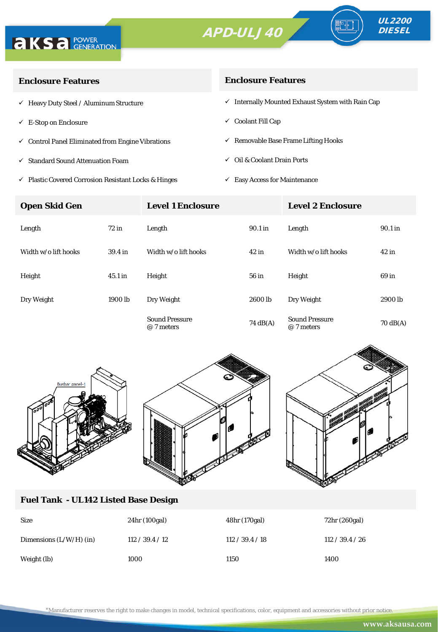



| <b>Enclosure Features</b>                                    | <b>Enclosure Features</b>                                    |  |  |
|--------------------------------------------------------------|--------------------------------------------------------------|--|--|
| $\checkmark$ Heavy Duty Steel / Aluminum Structure           | $\checkmark$ Internally Mounted Exhaust System with Rain Cap |  |  |
| $\checkmark$ E-Stop on Enclosure                             | $\checkmark$ Coolant Fill Cap                                |  |  |
| $\checkmark$ Control Panel Eliminated from Engine Vibrations | $\checkmark$ Removable Base Frame Lifting Hooks              |  |  |
| √ Standard Sound Attenuation Foam                            | $\checkmark$ Oil & Coolant Drain Ports                       |  |  |
|                                                              |                                                              |  |  |

 $\checkmark$ Plastic Covered Corrosion Resistant Locks & Hinges

 $\checkmark~$  Easy Access for Maintenance

| <b>Open Skid Gen</b> |                    | <b>Level 1 Enclosure</b>            |                    | <b>Level 2 Enclosure</b>            |                    |
|----------------------|--------------------|-------------------------------------|--------------------|-------------------------------------|--------------------|
| Length               | $72$ in            | Length                              | 90.1 in            | Length                              | 90.1 in            |
| Width w/o lift hooks | 39.4 <sub>in</sub> | Width w/o lift hooks                | $42$ in            | Width w/o lift hooks                | $42$ in            |
| Height               | $45.1$ in          | Height                              | 56 in              | Height                              | 69 in              |
| Dry Weight           | 1900 lb            | Dry Weight                          | 2600 lb            | Dry Weight                          | 2900 lb            |
|                      |                    | <b>Sound Pressure</b><br>@ 7 meters | $74 \text{ dB(A)}$ | <b>Sound Pressure</b><br>@ 7 meters | $70 \text{ dB(A)}$ |



## **Fuel Tank - UL142 Listed Base Design**

| <b>Size</b>               | 24hr (100gal)   | 48hr (170gal)   | 72hr (260gal)   |
|---------------------------|-----------------|-----------------|-----------------|
| Dimensions $(L/W/H)$ (in) | 112 / 39.4 / 12 | 112 / 39.4 / 18 | 112 / 39.4 / 26 |
| Weight (lb)               | 1000            | 1150            | 1400            |